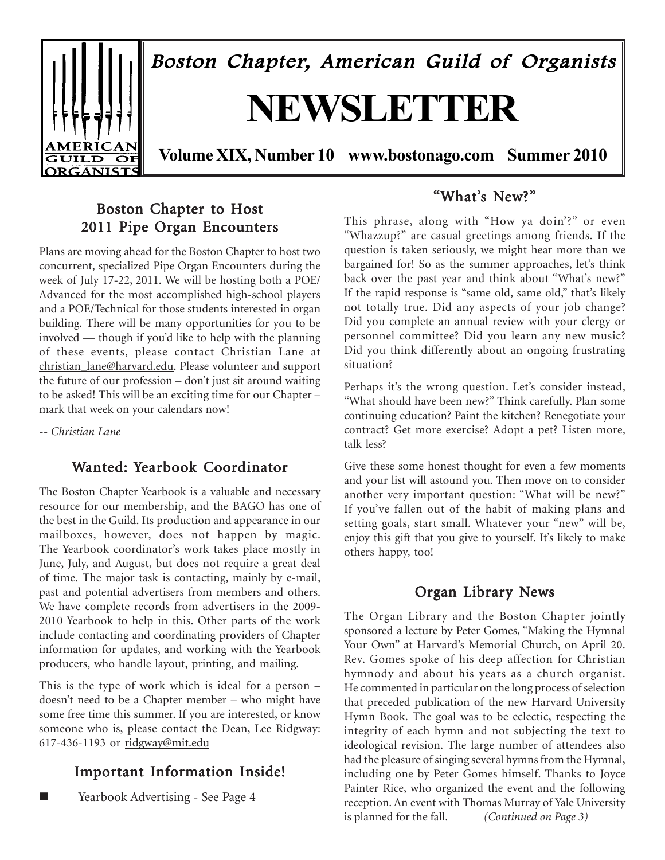

### Boston Chapter to Host 2011 Pipe Organ Encounters

Plans are moving ahead for the Boston Chapter to host two concurrent, specialized Pipe Organ Encounters during the week of July 17-22, 2011. We will be hosting both a POE/ Advanced for the most accomplished high-school players and a POE/Technical for those students interested in organ building. There will be many opportunities for you to be involved — though if you'd like to help with the planning of these events, please contact Christian Lane at christian\_lane@harvard.edu. Please volunteer and support the future of our profession – don't just sit around waiting to be asked! This will be an exciting time for our Chapter – mark that week on your calendars now!

*-- Christian Lane*

### Wanted: Yearbook Coordinator

The Boston Chapter Yearbook is a valuable and necessary resource for our membership, and the BAGO has one of the best in the Guild. Its production and appearance in our mailboxes, however, does not happen by magic. The Yearbook coordinator's work takes place mostly in June, July, and August, but does not require a great deal of time. The major task is contacting, mainly by e-mail, past and potential advertisers from members and others. We have complete records from advertisers in the 2009- 2010 Yearbook to help in this. Other parts of the work include contacting and coordinating providers of Chapter information for updates, and working with the Yearbook producers, who handle layout, printing, and mailing.

This is the type of work which is ideal for a person – doesn't need to be a Chapter member – who might have some free time this summer. If you are interested, or know someone who is, please contact the Dean, Lee Ridgway: 617-436-1193 or ridgway@mit.edu

### Important Information Inside!

Yearbook Advertising - See Page 4

### "What's New?"

This phrase, along with "How ya doin'?" or even "Whazzup?" are casual greetings among friends. If the question is taken seriously, we might hear more than we bargained for! So as the summer approaches, let's think back over the past year and think about "What's new?" If the rapid response is "same old, same old," that's likely not totally true. Did any aspects of your job change? Did you complete an annual review with your clergy or personnel committee? Did you learn any new music? Did you think differently about an ongoing frustrating situation?

Perhaps it's the wrong question. Let's consider instead, "What should have been new?" Think carefully. Plan some continuing education? Paint the kitchen? Renegotiate your contract? Get more exercise? Adopt a pet? Listen more, talk less?

Give these some honest thought for even a few moments and your list will astound you. Then move on to consider another very important question: "What will be new?" If you've fallen out of the habit of making plans and setting goals, start small. Whatever your "new" will be, enjoy this gift that you give to yourself. It's likely to make others happy, too!

### Organ Library News

The Organ Library and the Boston Chapter jointly sponsored a lecture by Peter Gomes, "Making the Hymnal Your Own" at Harvard's Memorial Church, on April 20. Rev. Gomes spoke of his deep affection for Christian hymnody and about his years as a church organist. He commented in particular on the long process of selection that preceded publication of the new Harvard University Hymn Book. The goal was to be eclectic, respecting the integrity of each hymn and not subjecting the text to ideological revision. The large number of attendees also had the pleasure of singing several hymns from the Hymnal, including one by Peter Gomes himself. Thanks to Joyce Painter Rice, who organized the event and the following reception. An event with Thomas Murray of Yale University is planned for the fall. *(Continued on Page 3)*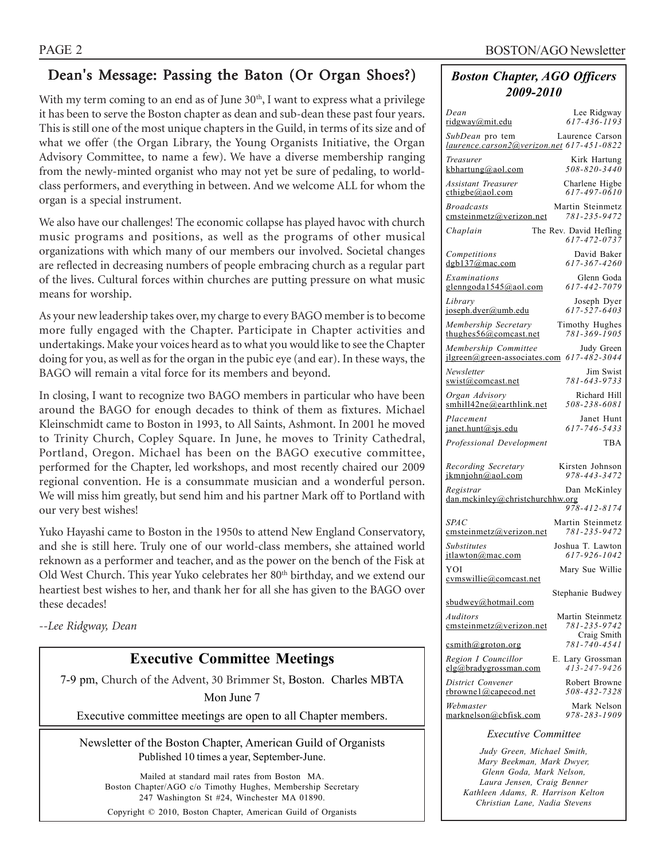### Dean's Message: Passing the Baton (Or Organ Shoes?)

With my term coming to an end as of June  $30<sup>th</sup>$ , I want to express what a privilege it has been to serve the Boston chapter as dean and sub-dean these past four years. This is still one of the most unique chapters in the Guild, in terms of its size and of what we offer (the Organ Library, the Young Organists Initiative, the Organ Advisory Committee, to name a few). We have a diverse membership ranging from the newly-minted organist who may not yet be sure of pedaling, to worldclass performers, and everything in between. And we welcome ALL for whom the organ is a special instrument.

We also have our challenges! The economic collapse has played havoc with church music programs and positions, as well as the programs of other musical organizations with which many of our members our involved. Societal changes are reflected in decreasing numbers of people embracing church as a regular part of the lives. Cultural forces within churches are putting pressure on what music means for worship.

As your new leadership takes over, my charge to every BAGO member is to become more fully engaged with the Chapter. Participate in Chapter activities and undertakings. Make your voices heard as to what you would like to see the Chapter doing for you, as well as for the organ in the pubic eye (and ear). In these ways, the BAGO will remain a vital force for its members and beyond.

In closing, I want to recognize two BAGO members in particular who have been around the BAGO for enough decades to think of them as fixtures. Michael Kleinschmidt came to Boston in 1993, to All Saints, Ashmont. In 2001 he moved to Trinity Church, Copley Square. In June, he moves to Trinity Cathedral, Portland, Oregon. Michael has been on the BAGO executive committee, performed for the Chapter, led workshops, and most recently chaired our 2009 regional convention. He is a consummate musician and a wonderful person. We will miss him greatly, but send him and his partner Mark off to Portland with our very best wishes!

Yuko Hayashi came to Boston in the 1950s to attend New England Conservatory, and she is still here. Truly one of our world-class members, she attained world reknown as a performer and teacher, and as the power on the bench of the Fisk at Old West Church. This year Yuko celebrates her 80<sup>th</sup> birthday, and we extend our heartiest best wishes to her, and thank her for all she has given to the BAGO over these decades!

*--Lee Ridgway, Dean*

### **Executive Committee Meetings**

7-9 pm, Church of the Advent, 30 Brimmer St, Boston. Charles MBTA

Mon June 7

Executive committee meetings are open to all Chapter members.

Newsletter of the Boston Chapter, American Guild of Organists Published 10 times a year, September-June.

Mailed at standard mail rates from Boston MA. Boston Chapter/AGO c/o Timothy Hughes, Membership Secretary 247 Washington St #24, Winchester MA 01890. Copyright © 2010, Boston Chapter, American Guild of Organists

#### *Boston Chapter, AGO Officers 2009-2010*

| Dean                                                         | Lee Ridgway                            |
|--------------------------------------------------------------|----------------------------------------|
| ridgway@mit.edu                                              | $617 - 436 - 1193$                     |
| SubDean pro tem<br>laurence.carson2@verizon.net 617-451-0822 | Laurence Carson                        |
| Treasurer                                                    | Kirk Hartung                           |
| kbhartung@aol.com                                            | 508-820-3440                           |
| <b>Assistant Treasurer</b>                                   | Charlene Higbe                         |
| $\text{cthigbe}(a)$ aol.com                                  | 617-497-0610                           |
| <b>Broadcasts</b>                                            | Martin Steinmetz                       |
| emsteinmetz@verizon.net                                      | 781-235-9472                           |
| Chaplain                                                     | The Rev. David Hefling<br>617-472-0737 |
| Competitions                                                 | David Baker                            |
| dgb137@mac.com                                               | 617-367-4260                           |
| Examinations                                                 | Glenn Goda                             |
| glenngoda1545@aol.com                                        | 617-442-7079                           |
| Library                                                      | Joseph Dyer                            |
| joseph.dyer@umb.edu                                          | 617-527-6403                           |
| Membership Secretary                                         | Timothy Hughes                         |
| thughes $56@$ comcast.net                                    | 781-369-1905                           |
| Membership Committee                                         | Judy Green                             |
| $ilgreen(\omega$ green-associates.com                        | 617-482-3044                           |
| Newsletter                                                   | Jim Swist                              |
| swist@comcast.net                                            | 781-643-9733                           |
| Organ Advisory                                               | Richard Hill                           |
| smhill42ne@earthlink.net                                     | 508-238-6081                           |
| Placement                                                    | Janet Hunt                             |
| janet.hunt@sjs.edu                                           | 617-746-5433                           |
| Professional Development                                     | TBA                                    |
| Recording Secretary                                          | Kirsten Johnson                        |
| ikmniohn@aol.com                                             | 978-443-3472                           |
| Registrar                                                    | Dan McKinley                           |
| dan.mckinley@christchurchhw.org                              | 978-412-8174                           |
| SPAC                                                         | Martin Steinmetz                       |
| emsteinmetz@verizon.net                                      | 781-235-9472                           |
| Substitutes                                                  | Joshua T. Lawton                       |
| itlawton@mac.com                                             | 617-926-1042                           |
| YOI<br>cymswillie@comcast.net                                | Mary Sue Willie                        |
| sbudwey@hotmail.com                                          | Stephanie Budwey                       |
| Auditors                                                     | Martin Steinmetz                       |
| cmsteinmetz@verizon.net                                      | 781-235-9742                           |
| csmith@groton.org                                            | Craig Smith<br>781-740-4541            |
| Region I Councillor                                          | E. Lary Grossman                       |
| elg@bradygrossman.com                                        | $413 - 247 - 9426$                     |
| District Convener                                            | Robert Browne                          |
| rbrownel@capecod.net                                         | 508-432-7328                           |
| Webmaster                                                    | Mark Nelson                            |
| marknelson@cbfisk.com                                        | 978-283-1909                           |
|                                                              |                                        |

#### *Executive Committee*

*Judy Green, Michael Smith, Mary Beekman, Mark Dwyer, Glenn Goda, Mark Nelson, Laura Jensen, Craig Benner Kathleen Adams, R. Harrison Kelton Christian Lane, Nadia Stevens*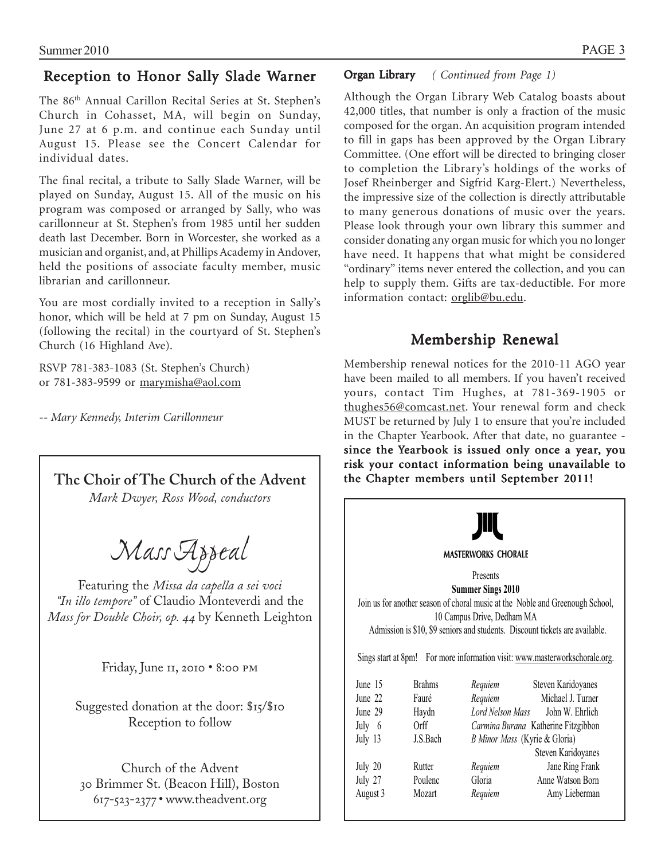### Reception to Honor Sally Slade Warner

The 86th Annual Carillon Recital Series at St. Stephen's Church in Cohasset, MA, will begin on Sunday, June 27 at 6 p.m. and continue each Sunday until August 15. Please see the Concert Calendar for individual dates.

The final recital, a tribute to Sally Slade Warner, will be played on Sunday, August 15. All of the music on his program was composed or arranged by Sally, who was carillonneur at St. Stephen's from 1985 until her sudden death last December. Born in Worcester, she worked as a musician and organist, and, at Phillips Academy in Andover, held the positions of associate faculty member, music librarian and carillonneur.

You are most cordially invited to a reception in Sally's honor, which will be held at 7 pm on Sunday, August 15 (following the recital) in the courtyard of St. Stephen's Church (16 Highland Ave).

RSVP 781-383-1083 (St. Stephen's Church) or 781-383-9599 or marymisha@aol.com

*-- Mary Kennedy, Interim Carillonneur*



617-523-2377 • www.theadvent.org

#### Organ Library *( Continued from Page 1)*

Although the Organ Library Web Catalog boasts about 42,000 titles, that number is only a fraction of the music composed for the organ. An acquisition program intended to fill in gaps has been approved by the Organ Library Committee. (One effort will be directed to bringing closer to completion the Library's holdings of the works of Josef Rheinberger and Sigfrid Karg-Elert.) Nevertheless, the impressive size of the collection is directly attributable to many generous donations of music over the years. Please look through your own library this summer and consider donating any organ music for which you no longer have need. It happens that what might be considered "ordinary" items never entered the collection, and you can help to supply them. Gifts are tax-deductible. For more information contact: orglib@bu.edu.

### Membership Renewal

Membership renewal notices for the 2010-11 AGO year have been mailed to all members. If you haven't received yours, contact Tim Hughes, at 781-369-1905 or thughes56@comcast.net. Your renewal form and check MUST be returned by July 1 to ensure that you're included in the Chapter Yearbook. After that date, no guarantee since the Yearbook is issued only once a year, you risk your contact information being unavailable to the Chapter members until September 2011!

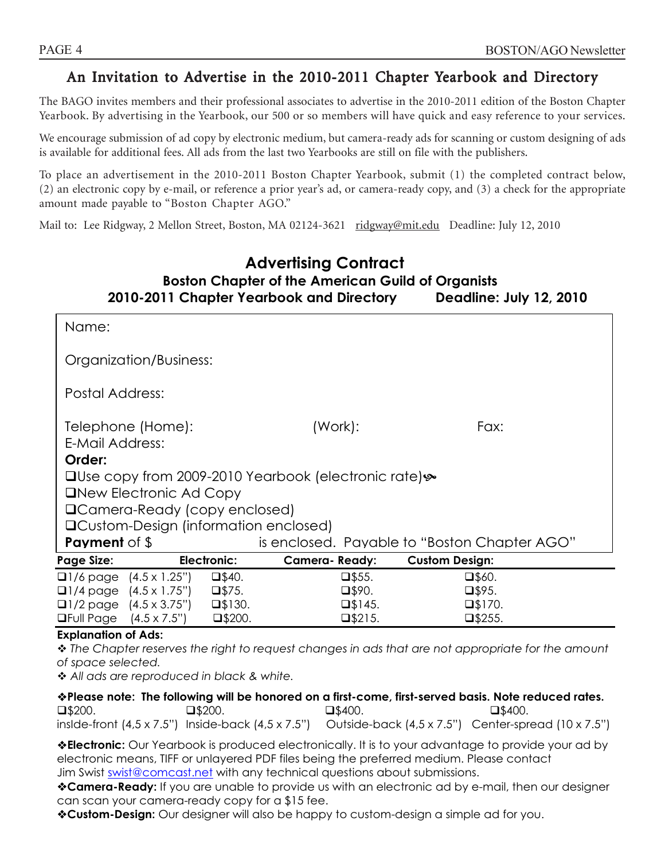### An Invitation to Advertise in the 2010-2011 Chapter Yearbook and Directory

The BAGO invites members and their professional associates to advertise in the 2010-2011 edition of the Boston Chapter Yearbook. By advertising in the Yearbook, our 500 or so members will have quick and easy reference to your services.

We encourage submission of ad copy by electronic medium, but camera-ready ads for scanning or custom designing of ads is available for additional fees. All ads from the last two Yearbooks are still on file with the publishers.

To place an advertisement in the 2010-2011 Boston Chapter Yearbook, submit (1) the completed contract below, (2) an electronic copy by e-mail, or reference a prior year's ad, or camera-ready copy, and (3) a check for the appropriate amount made payable to "Boston Chapter AGO."

Mail to: Lee Ridgway, 2 Mellon Street, Boston, MA 02124-3621 ridgway@mit.edu Deadline: July 12, 2010

### **Advertising Contract Boston Chapter of the American Guild of Organists 2010-2011 Chapter Yearbook and Directory**

| Name:                                                                               |                      |                                              |                  |  |  |
|-------------------------------------------------------------------------------------|----------------------|----------------------------------------------|------------------|--|--|
| Organization/Business:                                                              |                      |                                              |                  |  |  |
| Postal Address:                                                                     |                      |                                              |                  |  |  |
| Telephone (Home):<br>E-Mail Address:                                                | (Work):              |                                              | Fax:             |  |  |
| Order:                                                                              |                      |                                              |                  |  |  |
| <b>□Use copy from 2009-2010 Yearbook (electronic rate) <math>\rightarrow</math></b> |                      |                                              |                  |  |  |
| <b>ONEW Electronic Ad Copy</b>                                                      |                      |                                              |                  |  |  |
| □ Camera-Ready (copy enclosed)                                                      |                      |                                              |                  |  |  |
| <b>QCustom-Design (information enclosed)</b>                                        |                      |                                              |                  |  |  |
| <b>Payment</b> of \$                                                                |                      | is enclosed. Payable to "Boston Chapter AGO" |                  |  |  |
| Electronic:<br><b>Page Size:</b>                                                    | <b>Camera-Ready:</b> | <b>Custom Design:</b>                        |                  |  |  |
| $\Box$ 1/6 page $(4.5 \times 1.25")$                                                | $\square$ \$40.      | $\square$ \$55.                              | $\square$ \$60.  |  |  |
| $\Box$ 1/4 page $(4.5 \times 1.75)$                                                 | $\square$ \$75.      | $\square$ \$90.                              | $\square$ \$95.  |  |  |
| $\Box$ 1/2 page $(4.5 \times 3.75")$                                                | $\square$ \$130.     | $\square$ \$145.                             | $\square$ \$170. |  |  |
| $\Box$ Full Page $(4.5 \times 7.5")$                                                | $\square$ \$200.     | $\square$ \$215.                             | $\square$ \$255. |  |  |

#### **Explanation of Ads:**

 *The Chapter reserves the right to request changes in ads that are not appropriate for the amount of space selected.* 

 *All ads are reproduced in black & white.* 

**Please note: The following will be honored on a first-come, first-served basis. Note reduced rates.**   $\square$ \$200.  $\square$ \$200.  $\square$ \$400.  $\square$ \$400.  $\square$ \$400. insIde-front (4,5 x 7.5") Inside-back (4,5 x 7.5") Outside-back (4,5 x 7.5") Center-spread (10 x 7.5")

**Electronic:** Our Yearbook is produced electronically. It is to your advantage to provide your ad by electronic means, TIFF or unlayered PDF files being the preferred medium. Please contact Jim Swist swist@comcast.net with any technical questions about submissions.

**Camera-Ready:** If you are unable to provide us with an electronic ad by e-mail, then our designer can scan your camera-ready copy for a \$15 fee.

**Custom-Design:** Our designer will also be happy to custom-design a simple ad for you.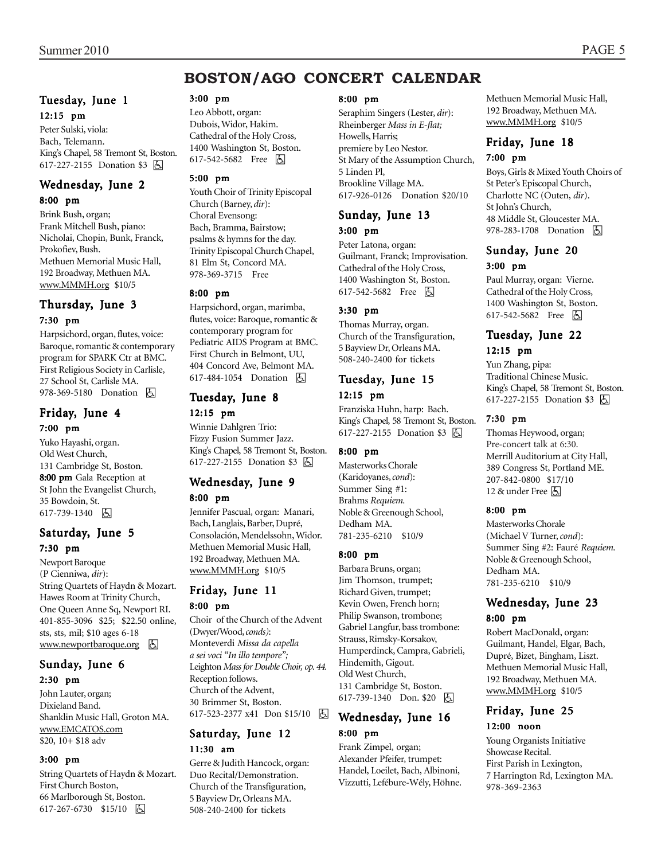### **BOSTON/AGO CONCERT CALENDAR**

#### Tuesday, June 1 12:15 pm

Peter Sulski, viola: Bach, Telemann. King's Chapel, 58 Tremont St, Boston. 617-227-2155 Donation \$3 **A** 

### Wednesday, June 2

8:00 pm

Brink Bush, organ; Frank Mitchell Bush, piano: Nicholai, Chopin, Bunk, Franck, Prokofiev, Bush. Methuen Memorial Music Hall, 192 Broadway, Methuen MA. www.MMMH.org \$10/5

#### Thursday, June 3 7:30 pm

Harpsichord, organ, flutes, voice: Baroque, romantic & contemporary program for SPARK Ctr at BMC. First Religious Society in Carlisle, 27 School St, Carlisle MA. 978-369-5180 Donation **h** 

#### Friday, June 4 7:00 pm

Yuko Hayashi, organ. Old West Church, 131 Cambridge St, Boston. 8:00 pm Gala Reception at St John the Evangelist Church, 35 Bowdoin, St. 617-739-1340 因

#### Saturday, June 5 7:30 pm

Newport Baroque (P Cienniwa, *dir*): String Quartets of Haydn & Mozart. Hawes Room at Trinity Church, One Queen Anne Sq, Newport RI. 401-855-3096 \$25; \$22.50 online, sts, sts, mil; \$10 ages 6-18 www.newportbaroque.org &

#### Sunday, June 6 2:30 pm

John Lauter, organ; Dixieland Band. Shanklin Music Hall, Groton MA. www.EMCATOS.com \$20, 10+ \$18 adv

#### 3:00 pm

String Quartets of Haydn & Mozart. First Church Boston, 66 Marlborough St, Boston. 617-267-6730 \$15/10 | 因

#### 3:00 pm

Leo Abbott, organ: Dubois, Widor, Hakim. Cathedral of the Holy Cross, 1400 Washington St, Boston. 617-542-5682 Free **b** 

#### 5:00 pm

Youth Choir of Trinity Episcopal Church (Barney, *dir*): Choral Evensong: Bach, Bramma, Bairstow; psalms & hymns for the day. Trinity Episcopal Church Chapel, 81 Elm St, Concord MA. 978-369-3715 Free

#### 8:00 pm

Harpsichord, organ, marimba, flutes, voice: Baroque, romantic & contemporary program for Pediatric AIDS Program at BMC. First Church in Belmont, UU, 404 Concord Ave, Belmont MA. 617-484-1054 Donation  $\boxed{6}$ 

#### Tuesday, June 8

12:15 pm Winnie Dahlgren Trio:

Fizzy Fusion Summer Jazz. King's Chapel, 58 Tremont St, Boston. 617-227-2155 Donation \$3 因

#### Wednesday, June 9 8:00 pm

Jennifer Pascual, organ: Manari, Bach, Langlais, Barber, Dupré, Consolación, Mendelssohn, Widor. Methuen Memorial Music Hall, 192 Broadway, Methuen MA. www.MMMH.org \$10/5

# Friday, June 11

#### 8:00 pm

Choir of the Church of the Advent (Dwyer/Wood, *conds)*: Monteverdi *Missa da capella a sei voci "In illo tempore";* Leighton *Mass for Double Choir, op. 44.* Reception follows. Church of the Advent, 30 Brimmer St, Boston. 617-523-2377 x41 Don \$15/10 因

#### Saturday, June 12 11:30 am

Gerre & Judith Hancock, organ: Duo Recital/Demonstration. Church of the Transfiguration, 5 Bayview Dr, Orleans MA. 508-240-2400 for tickets

#### 8:00 pm

Seraphim Singers (Lester, *dir*): Rheinberger *Mass in E-flat;* Howells, Harris; premiere by Leo Nestor. St Mary of the Assumption Church, 5 Linden Pl, Brookline Village MA. 617-926-0126 Donation \$20/10

#### Sunday, June 13 3:00 pm

Peter Latona, organ: Guilmant, Franck; Improvisation. Cathedral of the Holy Cross, 1400 Washington St, Boston. 617-542-5682 Free **b** 

#### 3:30 pm

Thomas Murray, organ. Church of the Transfiguration, 5 Bayview Dr, Orleans MA. 508-240-2400 for tickets

#### Tuesday, June 15 12:15 pm

Franziska Huhn, harp: Bach. King's Chapel, 58 Tremont St, Boston. 617-227-2155 Donation \$3 囚

#### 8:00 pm

Masterworks Chorale (Karidoyanes, *cond*): Summer Sing #1: Brahms *Requiem.* Noble & Greenough School, Dedham MA. 781-235-6210 \$10/9

#### 8:00 pm

Barbara Bruns, organ; Jim Thomson, trumpet; Richard Given, trumpet; Kevin Owen, French horn; Philip Swanson, trombone; Gabriel Langfur, bass trombone: Strauss, Rimsky-Korsakov, Humperdinck, Campra, Gabrieli, Hindemith, Gigout. Old West Church, 131 Cambridge St, Boston. 617-739-1340 Don. \$20 **A** 

#### Wednesday, June 16 8:00 pm

Frank Zimpel, organ; Alexander Pfeifer, trumpet: Handel, Loeilet, Bach, Albinoni, Vizzutti, Lefébure-Wély, Höhne. Methuen Memorial Music Hall, 192 Broadway, Methuen MA. www.MMMH.org \$10/5

#### Friday, June 18 7:00 pm

Boys, Girls & Mixed Youth Choirs of St Peter's Episcopal Church, Charlotte NC (Outen, *dir*). St John's Church, 48 Middle St, Gloucester MA. 978-283-1708 Donation  $\Box$ 

#### Sunday, June 20 3:00 pm

Paul Murray, organ: Vierne. Cathedral of the Holy Cross, 1400 Washington St, Boston. 617-542-5682 Free 因

#### Tuesday, June 22 12:15 pm

Yun Zhang, pipa: Traditional Chinese Music. King's Chapel, 58 Tremont St, Boston. 617-227-2155 Donation \$3 **A** 

#### 7:30 pm

Thomas Heywood, organ; Pre-concert talk at 6:30. Merrill Auditorium at City Hall, 389 Congress St, Portland ME. 207-842-0800 \$17/10 12  $\&$  under Free  $\boxtimes$ 

#### 8:00 pm

Masterworks Chorale (Michael V Turner, *cond*): Summer Sing #2: Fauré *Requiem.* Noble & Greenough School, Dedham MA. 781-235-6210 \$10/9

## Wednesday, June 23

#### 8:00 pm

Robert MacDonald, organ: Guilmant, Handel, Elgar, Bach, Dupré, Bizet, Bingham, Liszt. Methuen Memorial Music Hall, 192 Broadway, Methuen MA. www.MMMH.org \$10/5

#### Friday, June 25 12:00 noon

Young Organists Initiative Showcase Recital. First Parish in Lexington, 7 Harrington Rd, Lexington MA. 978-369-2363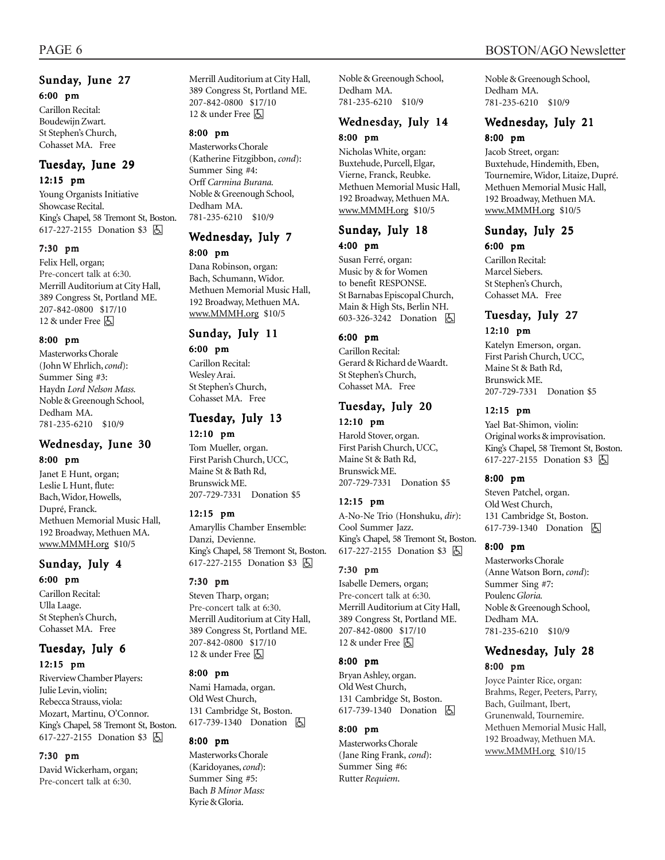### Sunday, June 27 6:00 pm

Carillon Recital: Boudewijn Zwart. St Stephen's Church, Cohasset MA. Free

#### Tuesday, June 29 12:15 pm

Young Organists Initiative Showcase Recital. King's Chapel, 58 Tremont St, Boston. 617-227-2155 Donation \$3 因

#### 7:30 pm

Felix Hell, organ; Pre-concert talk at 6:30. Merrill Auditorium at City Hall, 389 Congress St, Portland ME. 207-842-0800 \$17/10 12 & under Free [5]

#### 8:00 pm

Masterworks Chorale (John W Ehrlich, *cond*): Summer Sing #3: Haydn *Lord Nelson Mass.* Noble & Greenough School, Dedham MA. 781-235-6210 \$10/9

#### Wednesday, June 30 8:00 pm

Janet E Hunt, organ; Leslie L Hunt, flute: Bach, Widor, Howells, Dupré, Franck. Methuen Memorial Music Hall, 192 Broadway, Methuen MA. www.MMMH.org \$10/5

### Sunday, July 4 6:00 pm

Carillon Recital: Ulla Laage. St Stephen's Church, Cohasset MA. Free

### Tuesday, July 6

#### 12:15 pm

Riverview Chamber Players: Julie Levin, violin; Rebecca Strauss, viola: Mozart, Martinu, O'Connor. King's Chapel, 58 Tremont St, Boston. 617-227-2155 Donation \$3 因

#### 7:30 pm

David Wickerham, organ; Pre-concert talk at 6:30.

Merrill Auditorium at City Hall, 389 Congress St, Portland ME. 207-842-0800 \$17/10 12  $\&$  under Free  $\&$ 

#### 8:00 pm

Masterworks Chorale (Katherine Fitzgibbon, *cond*): Summer Sing #4: Orff *Carmina Burana.* Noble & Greenough School, Dedham MA. 781-235-6210 \$10/9

# Wednesday, July 7

#### 8:00 pm

Dana Robinson, organ: Bach, Schumann, Widor. Methuen Memorial Music Hall, 192 Broadway, Methuen MA. www.MMMH.org \$10/5

### Sunday, July 11

#### 6:00 pm

Carillon Recital: Wesley Arai. St Stephen's Church, Cohasset MA. Free

#### Tuesday, July 13 12:10 pm

Tom Mueller, organ. First Parish Church, UCC, Maine St & Bath Rd, Brunswick ME. 207-729-7331 Donation \$5

#### 12:15 pm

Amaryllis Chamber Ensemble: Danzi, Devienne. King's Chapel, 58 Tremont St, Boston. 617-227-2155 Donation \$3 **b** 

#### 7:30 pm

Steven Tharp, organ; Pre-concert talk at 6:30. Merrill Auditorium at City Hall, 389 Congress St, Portland ME. 207-842-0800 \$17/10 12 & under Free 囚

#### 8:00 pm

Nami Hamada, organ. Old West Church, 131 Cambridge St, Boston. 617-739-1340 Donation **A** 

#### 8:00 pm

Masterworks Chorale (Karidoyanes, *cond*): Summer Sing #5: Bach *B Minor Mass:* Kyrie & Gloria.

Noble & Greenough School, Dedham MA. 781-235-6210 \$10/9

#### Wednesday, July 14 8:00 pm

Nicholas White, organ: Buxtehude, Purcell, Elgar, Vierne, Franck, Reubke. Methuen Memorial Music Hall, 192 Broadway, Methuen MA. www.MMMH.org \$10/5

#### Sunday, July 18 4:00 pm

Susan Ferré, organ: Music by & for Women to benefit RESPONSE. St Barnabas Episcopal Church, Main & High Sts, Berlin NH. 603-326-3242 Donation **b** 

#### 6:00 pm

Carillon Recital: Gerard & Richard de Waardt. St Stephen's Church, Cohasset MA. Free

#### Tuesday, July 20

12:10 pm Harold Stover, organ. First Parish Church, UCC, Maine St & Bath Rd, Brunswick ME. 207-729-7331 Donation \$5

#### 12:15 pm

A-No-Ne Trio (Honshuku, *dir*): Cool Summer Jazz. King's Chapel, 58 Tremont St, Boston. 617-227-2155 Donation \$3 **b** 

#### 7:30 pm

Isabelle Demers, organ; Pre-concert talk at 6:30. Merrill Auditorium at City Hall, 389 Congress St, Portland ME. 207-842-0800 \$17/10 12  $\&$  under Free  $\&$ 

#### 8:00 pm

Bryan Ashley, organ. Old West Church, 131 Cambridge St, Boston. 617-739-1340 Donation **b** 

#### 8:00 pm

Masterworks Chorale (Jane Ring Frank, *cond*): Summer Sing #6: Rutter *Requiem*.

Noble & Greenough School, Dedham MA. 781-235-6210 \$10/9

#### Wednesday, July 21 8:00 pm

Jacob Street, organ: Buxtehude, Hindemith, Eben, Tournemire, Widor, Litaize, Dupré. Methuen Memorial Music Hall, 192 Broadway, Methuen MA. www.MMMH.org \$10/5

#### Sunday, July 25 6:00 pm

Carillon Recital: Marcel Siebers. St Stephen's Church, Cohasset MA. Free

### Tuesday, July 27

#### 12:10 pm

Katelyn Emerson, organ. First Parish Church, UCC, Maine St & Bath Rd, Brunswick ME. 207-729-7331 Donation \$5

#### 12:15 pm

Yael Bat-Shimon, violin: Original works & improvisation. King's Chapel, 58 Tremont St, Boston. 617-227-2155 Donation \$3 **A** 

#### 8:00 pm

Steven Patchel, organ. Old West Church, 131 Cambridge St, Boston. 617-739-1340 Donation **A** 

#### 8:00 pm

Masterworks Chorale (Anne Watson Born, *cond*): Summer Sing #7: Poulenc *Gloria.* Noble & Greenough School, Dedham MA. 781-235-6210 \$10/9

#### Wednesday, July 28 8:00 pm

Joyce Painter Rice, organ: Brahms, Reger, Peeters, Parry, Bach, Guilmant, Ibert, Grunenwald, Tournemire. Methuen Memorial Music Hall, 192 Broadway, Methuen MA. www.MMMH.org \$10/15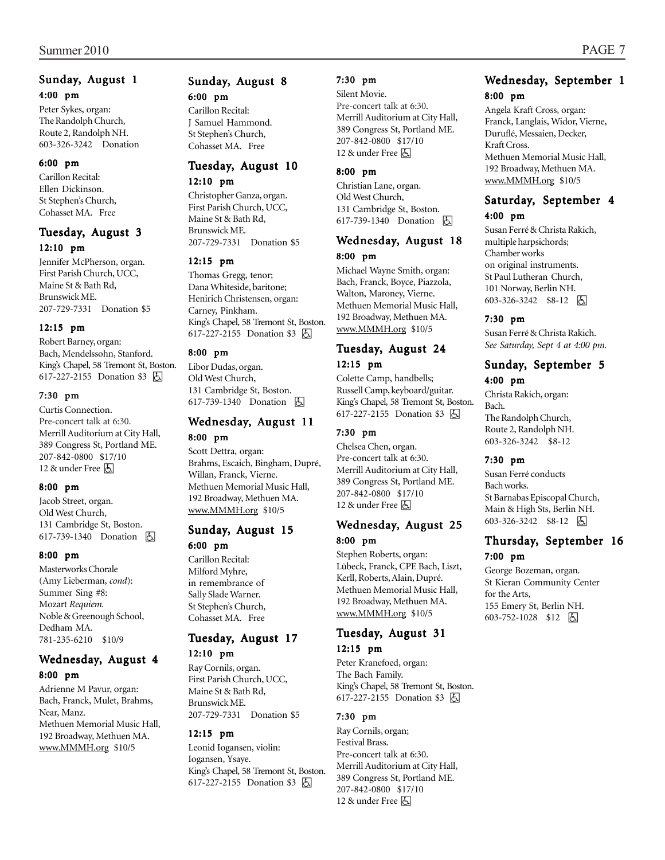#### Sunday, August 1 4:00 pm

Peter Sykes, organ: The Randolph Church, Route 2, Randolph NH. 603-326-3242 Donation

#### 6:00 pm

Carillon Recital: Ellen Dickinson. St Stephen's Church, Cohasset MA. Free

#### Tuesday, August 3 12:10 pm

Jennifer McPherson, organ. First Parish Church, UCC, Maine St & Bath Rd, Brunswick ME. 207-729-7331 Donation \$5

#### 12:15 pm

Robert Barney, organ: Bach, Mendelssohn, Stanford. King's Chapel, 58 Tremont St, Boston. 617-227-2155 Donation \$3 <a>

#### 7:30 pm

Curtis Connection. Pre-concert talk at 6:30. Merrill Auditorium at City Hall, 389 Congress St, Portland ME. 207-842-0800 \$17/10 12  $\&$  under Free  $\&$ 

#### 8:00 pm

Jacob Street, organ. Old West Church, 131 Cambridge St, Boston. 617-739-1340 Donation h

#### 8:00 pm

Masterworks Chorale (Amy Lieberman, *cond*): Summer Sing #8: Mozart *Requiem.* Noble & Greenough School, Dedham MA. 781-235-6210 \$10/9

#### Wednesday, August 4 8:00 pm

Adrienne M Pavur, organ: Bach, Franck, Mulet, Brahms, Near, Manz. Methuen Memorial Music Hall, 192 Broadway, Methuen MA. www.MMMH.org \$10/5

### Sunday, August 8

#### 6:00 pm

Carillon Recital: J Samuel Hammond. St Stephen's Church, Cohasset MA. Free

#### Tuesday, August 10 12:10 pm

Christopher Ganza, organ. First Parish Church, UCC, Maine St & Bath Rd, Brunswick ME. 207-729-7331 Donation \$5

#### 12:15 pm

Thomas Gregg, tenor; Dana Whiteside, baritone; Henirich Christensen, organ: Carney, Pinkham. King's Chapel, 58 Tremont St, Boston. 617-227-2155 Donation \$3 h

#### 8:00 pm

Libor Dudas, organ. Old West Church, 131 Cambridge St, Boston. 617-739-1340 Donation 因

#### Wednesday, August 11 8:00 pm

Scott Dettra, organ: Brahms, Escaich, Bingham, Dupré, Willan, Franck, Vierne. Methuen Memorial Music Hall, 192 Broadway, Methuen MA. www.MMMH.org \$10/5

#### Sunday, August 15 6:00 pm

Carillon Recital: Milford Myhre, in remembrance of Sally Slade Warner. St Stephen's Church, Cohasset MA. Free

#### Tuesday, August 17 12:10 pm

Ray Cornils, organ. First Parish Church, UCC, Maine St & Bath Rd, Brunswick ME. 207-729-7331 Donation \$5

#### 12:15 pm

Leonid Iogansen, violin: Iogansen, Ysaye. King's Chapel, 58 Tremont St, Boston. 617-227-2155 Donation \$3 h

#### 7:30 pm

Silent Movie. Pre-concert talk at 6:30. Merrill Auditorium at City Hall, 389 Congress St, Portland ME. 207-842-0800 \$17/10 12  $\&$  under Free  $\&$ 

#### 8:00 pm

Christian Lane, organ. Old West Church, 131 Cambridge St, Boston. 617-739-1340 Donation **b** 

#### Wednesday, August 18 8:00 pm

Michael Wayne Smith, organ: Bach, Franck, Boyce, Piazzola, Walton, Maroney, Vierne. Methuen Memorial Music Hall, 192 Broadway, Methuen MA. www.MMMH.org \$10/5

#### Tuesday, August 24 12:15 pm

Colette Camp, handbells; Russell Camp, keyboard/guitar. King's Chapel, 58 Tremont St, Boston. 617-227-2155 Donation \$3 | A

#### 7:30 pm

Chelsea Chen, organ. Pre-concert talk at 6:30. Merrill Auditorium at City Hall, 389 Congress St, Portland ME. 207-842-0800 \$17/10 12  $\&$  under Free  $\boxtimes$ 

#### Wednesday, August 25 8:00 pm

Stephen Roberts, organ: Lübeck, Franck, CPE Bach, Liszt, Kerll, Roberts, Alain, Dupré. Methuen Memorial Music Hall, 192 Broadway, Methuen MA. www.MMMH.org \$10/5

### Tuesday, August 31

#### 12:15 pm

Peter Kranefoed, organ: The Bach Family. King's Chapel, 58 Tremont St, Boston. 617-227-2155 Donation \$3 **A** 

#### 7:30 pm

Ray Cornils, organ; Festival Brass. Pre-concert talk at 6:30. Merrill Auditorium at City Hall, 389 Congress St, Portland ME. 207-842-0800 \$17/10 12 & under Free  $\Delta$ 

### Wednesday, September 1 8:00 pm

Angela Kraft Cross, organ: Franck, Langlais, Widor, Vierne, Duruflé, Messaien, Decker, Kraft Cross. Methuen Memorial Music Hall, 192 Broadway, Methuen MA. www.MMMH.org \$10/5

#### Saturday, September 4 4:00 pm

Susan Ferré & Christa Rakich, multiple harpsichords; Chamber works on original instruments. St Paul Lutheran Church, 101 Norway, Berlin NH. 603-326-3242 \$8-12 |5

#### 7:30 pm

Susan Ferré & Christa Rakich. *See Saturday, Sept 4 at 4:00 pm.*

#### Sunday, September 5 4:00 pm

Christa Rakich, organ: Bach. The Randolph Church, Route 2, Randolph NH. 603-326-3242 \$8-12

#### 7:30 pm

Susan Ferré conducts Bach works. St Barnabas Episcopal Church, Main & High Sts, Berlin NH. 603-326-3242 \$8-12 |5

#### Thursday, September 16 7:00 pm

George Bozeman, organ. St Kieran Community Center for the Arts, 155 Emery St, Berlin NH. 603-752-1028 \$12 6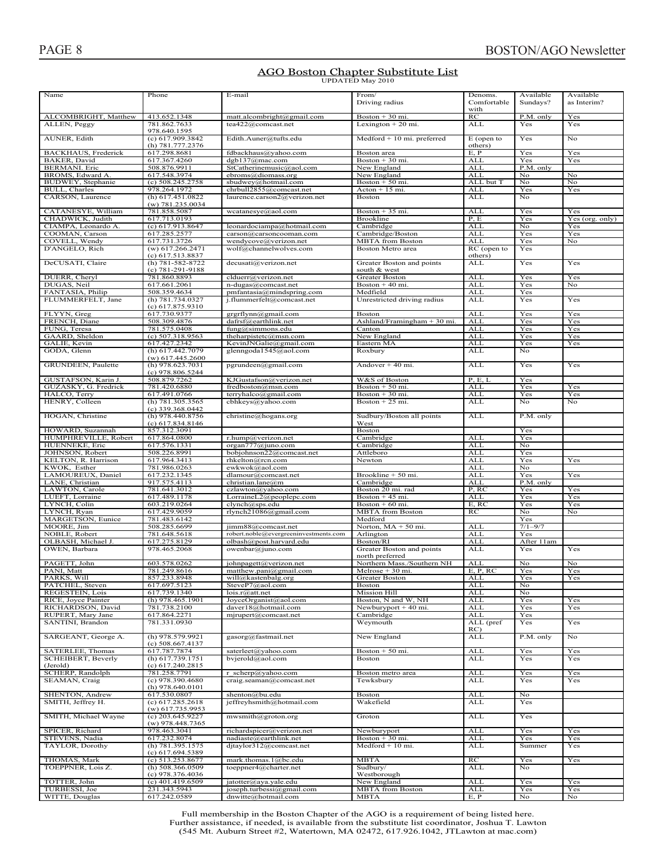# **AGO Boston Chapter Substitute List**<br>UPDATED May 2010

| Name                                    | Phone                                  | E-mail                                        | From/<br>Driving radius        | Denoms.<br>Comfortable<br>with | Available<br>Sundays? | Available<br>as Interim? |
|-----------------------------------------|----------------------------------------|-----------------------------------------------|--------------------------------|--------------------------------|-----------------------|--------------------------|
| ALCOMBRIGHT, Matthew                    | 413.652.1348                           | matt.alcombright@gmail.com                    | Boston $+30$ mi.               | RC                             | P.M. only             | Yes                      |
| ALLEN, Peggy                            | 781.862.7633                           | tea422@comcast.net                            | Lexington $+20$ mi.            | <b>ALL</b>                     | Yes                   | Yes                      |
|                                         | 978.640.1595                           |                                               |                                |                                |                       |                          |
| AUNER, Edith                            | (c) 617.909.3842                       | Edith.Auner@tufts.edu                         | $Medford + 10 mi. preferred$   | $E$ (open to                   | Yes                   | No                       |
|                                         | (h) $781.777.2376$                     |                                               |                                | others)                        |                       |                          |
| <b>BACKHAUS</b> , Frederick             | 617.298.8681                           | fdbackhaus@yahoo.com                          | Boston area                    | E, P                           | Yes                   | Yes                      |
| BAKER, David                            | 617.367.4260                           | dgb137@mac.com                                | Boston $+30$ mi.               | <b>ALL</b>                     | Yes                   | Yes                      |
| <b>BERMANI</b> . Eric                   | 508.876.9911                           | StCatherinemusic@aol.com                      | New England                    | <b>ALL</b>                     | P.M. only             |                          |
| BROMS, Edward A.                        | 617.548.3974                           | ebroms@diomass.org                            | New England                    | ALL                            | No                    | No                       |
| BUDWEY, Stephanie                       | $(c)$ 508.245.2758                     | sbudwey@hotmail.com                           | Boston $+50$ mi.               | ALL but T                      | No                    | No                       |
| BULL, Charles                           | 978.264.1972                           | chrbull2855@comcast.net                       | $Action + 15 mi$ .             | ALL                            | Yes                   | Yes                      |
| CARSON, Laurence                        | $(h)$ 617.451.0822                     | laurence.carson2@verizon.net                  | Boston                         | <b>ALL</b>                     | No                    |                          |
|                                         | $(w)$ 781.235.0034                     |                                               |                                |                                |                       |                          |
| CATANESYE, William                      | 781.858.5087<br>617.713.0193           | wcatanesye@aol.com                            | Boston $+35$ mi.<br>Brookline  | <b>ALL</b><br>P, E             | Yes<br>Yes            | Yes                      |
| CHADWICK, Judith<br>CIAMPA, Leonardo A. | (c) 617.913.8647                       | leonardociampa@hotmail.com                    | Cambridge                      | <b>ALL</b>                     | No                    | Yes (org. only)<br>Yes   |
| COOMAN, Carson                          | 617.285.2577                           | carson@carsoncooman.com                       | Cambridge/Boston               | <b>ALL</b>                     | Yes                   | Yes                      |
| COVELL, Wendy                           | 617.731.3726                           | wendycove@verizon.net                         | <b>MBTA</b> from Boston        | <b>ALL</b>                     | Yes                   | No                       |
| D'ANGELO, Rich                          | $(w)$ 617.266.2471                     | wolf@channelwolves.com                        | Boston Metro area              | RC (open to                    | Yes                   |                          |
|                                         | (c) 617.513.8837                       |                                               |                                | others)                        |                       |                          |
| DeCUSATI, Claire                        | (h) 781-582-8722                       | decusati@verizon.net                          | Greater Boston and points      | ALL                            | Yes                   | Yes                      |
|                                         | (c) 781-291-9188                       |                                               | south & west                   |                                |                       |                          |
| DUERR, Cheryl                           | 781.860.8893                           | clduerr@verizon.net                           | Greater Boston                 | ALL                            | Yes                   | Yes                      |
| DUGAS, Neil                             | 617.661.2061                           | n-dugas@comcast.net                           | Boston + 40 mi.                | <b>ALL</b>                     | Yes                   | No                       |
| FANTASIA, Philip                        | 508.359.4634                           | pmfantasia@mindspring.com                     | Medfield                       | ALL                            | Yes                   |                          |
| FLUMMERFELT, Jane                       | (h) 781.734.0327                       | j.flummerfelt@comcast.net                     | Unrestricted driving radius    | <b>ALL</b>                     | Yes                   | Yes                      |
|                                         | (c) 617.875.9310                       |                                               |                                |                                |                       |                          |
| FLYYN, Greg                             | 617.730.9377                           | grgrflynn@gmail.com                           | <b>Boston</b>                  | <b>ALL</b>                     | Yes                   | Yes                      |
| FRENCH, Diane                           | 508.309.4876                           | dafrsf@earthlink.net                          | Ashland/Framingham $+30$ mi.   | <b>ALL</b>                     | Yes                   | Yes                      |
| FUNG, Teresa                            | 781.575.0408                           | fung@simmons.edu                              | Canton                         | <b>ALL</b>                     | Yes                   | Yes                      |
| GAARD, Sheldon                          | $(c)$ 507.318.9563                     | the harpistetc@msn.com                        | New England                    | <b>ALL</b>                     | Yes                   | Yes                      |
| GALIE, Kevin                            | 617.427.2342                           | KevinJNGalie@gmail.com                        | Eastern MA                     | <b>ALL</b>                     | Yes                   | Yes                      |
| GODA, Glenn                             | (h) 617.442.7079                       | glenngoda1545@aol.com                         | Roxbury                        | <b>ALL</b>                     | No.                   |                          |
|                                         | $(w)$ 617.445.2600                     |                                               |                                |                                |                       |                          |
| GRUNDEEN, Paulette                      | (h) 978.623.7031                       | pgrundeen@gmail.com                           | Andover $+40$ mi.              | <b>ALL</b>                     | Yes                   | Yes                      |
|                                         | $(c)$ 978.806.5244                     |                                               |                                |                                |                       |                          |
| GUSTAFSON, Karin J                      | 508.879.7262                           | KJGustafson@verizon.net                       | W&S of Boston                  | P, E, L                        | Yes                   |                          |
| GUZASKY, G. Fredrick                    | 781.420.6880                           | fredboston@msn.com                            | Boston $+50$ mi.               | <b>ALL</b>                     | Yes                   | Yes                      |
| HALCO, Terry                            | 617.491.0766                           | terryhalco@gmail.com                          | Boston $+30$ mi.               | <b>ALL</b>                     | Yes                   | Yes                      |
| HENRY, Colleen                          | (h) 781.305.3565                       | cbhkeys@yahoo.com                             | Boston $+25$ mi.               | <b>ALL</b>                     | No                    | No                       |
|                                         | $(c)$ 339.368.0442                     |                                               |                                |                                |                       |                          |
| HOGAN, Christine                        | (h) 978.440.8756                       | christine@hogans.org                          | Sudbury/Boston all points      | <b>ALL</b>                     | P.M. only             |                          |
|                                         | (c) 617.834.8146                       |                                               | West                           |                                |                       |                          |
| HOWARD, Suzannah                        | 857.312.3091                           |                                               | <b>Boston</b>                  |                                | Yes                   |                          |
| HUMPHREVILLE, Robert                    | 617.864.0800                           | r.hump@verizon.net                            | Cambridge                      | <b>ALL</b>                     | Yes                   |                          |
| HUENNEKE, Eric                          | 617.576.1331                           | organ777@juno.com                             | Cambridge                      | <b>ALL</b>                     | No                    |                          |
| JOHNSON, Robert                         | 508.226.8991                           | bobjohnson22@comcast.net                      | Attleboro                      | <b>ALL</b>                     | Yes                   |                          |
| KELTON, R. Harrison                     | 617.964.3413                           | rhkelton@rcn.com                              | Newton                         | <b>ALL</b><br><b>ALL</b>       | Yes                   | Yes                      |
| KWOK, Esther                            | 781.986.0263                           | ewkwok@aol.com                                |                                | <b>ALL</b>                     | No                    |                          |
| LAMOUREUX, Daniel                       | 617.232.1345                           | dlamour@comcast.net                           | Brookline + 50 mi.             |                                | Yes                   | Yes                      |
| LANE, Christian<br>LAWTON, Carole       | 917.575.4113<br>781.641.3012           | christian.lane@m                              | Cambridge<br>Boston 20 mi. rad | <b>ALL</b><br>P, RC            | P.M. only<br>Yes      | Yes                      |
| LUEFT, Lorraine                         | 617.489.1178                           | czlawton@yahoo.com<br>LorraineL2@peoplepc.com | Boston $+45$ mi.               | <b>ALL</b>                     | Yes                   | Yes                      |
| LYNCH, Colin                            | 603.219.0264                           | clynch@sps.edu                                | Boston + 60 mi.                | E, RC                          | Yes                   | Yes                      |
| LYNCH, Ryan                             | 617.429.9059                           | rlynch21086@gmail.com                         | <b>MBTA</b> from Boston        | RC                             | No                    | No                       |
| MARGETSON, Eunice                       | 781.483.6142                           |                                               | Medford                        |                                | Yes                   |                          |
| MOORE, Jim                              | 508.285.6699                           | iimm88@comcast.net                            | Norton, MA + 50 mi.            | <b>ALL</b>                     | $7/1 - 9/7$           |                          |
| NOBLE, Robert                           | 781.648.5618                           | robert.noble@evergreeninvestments.com         | Arlington                      | <b>ALL</b>                     | Yes                   |                          |
| OLBASH, Michael J.                      | 617.275.8129                           | olbash@post.harvard.edu                       | Boston/RI                      | ALL                            | After 11am            |                          |
| OWEN, Barbara                           | 978.465.2068                           | owenbar@juno.com                              | Greater Boston and points      | <b>ALL</b>                     | Yes                   | Yes                      |
|                                         |                                        |                                               | north preferred                |                                |                       |                          |
| PAGETT, John                            | 603.578.0262                           | johnpagett@verizon.net                        | Northern Mass./Southern NH     | <b>ALL</b>                     | No                    | No                       |
| PANI, Matt                              | 781.249.8616                           | matthew.pani@gmail.com                        | Melrose + 30 mi.               | E. P. RC                       | Yes                   | Yes                      |
| PARKS, Will                             | 857.233.8948                           | will@kastenbalg.org                           | Greater Boston                 | <b>ALL</b>                     | Yes                   | Yes                      |
| PATCHEL, Steven                         | 617.697.5123                           | SteveP7@aol.com                               | Boston                         | ALL                            | No                    |                          |
| REGESTEIN, Lois                         | 617.739.1340                           | lois.r@att.net                                | <b>Mission Hill</b>            | <b>ALL</b>                     | No                    |                          |
| RICE, Joyce Painter                     | (h) $978.465.1901$                     | JoyceOrganist@aol.com                         | Boston, N and W, NH            | <b>ALL</b>                     | Yes                   | Yes                      |
| RICHARDSON, David                       | 781.738.2100                           | daver18@hotmail.com                           | Newburyport $+40$ mi.          | <b>ALL</b>                     | Yes                   | Yes                      |
| RUPERT, Mary Jane                       | 617.864.2271                           | mjrupert@comcast.net                          | Cambridge                      | <b>ALL</b>                     | Yes                   |                          |
| SANTINI, Brandon                        | 781.331.0930                           |                                               | Weymouth                       | ALL (pref                      | Yes                   | Yes                      |
|                                         |                                        |                                               |                                | RC)                            |                       |                          |
| SARGEANT, George A.                     | $(h)$ 978.579.9921                     | gasorg@fastmail.net                           | New England                    | ALL                            | P.M. only             | No                       |
|                                         | $(c)$ 508.667.4137                     |                                               |                                |                                |                       |                          |
| SATERLEE, Thomas                        | 617.787.7874                           | saterleet@yahoo.com                           | Boston $+50$ mi.               | <b>ALL</b>                     | Yes                   | Yes                      |
| <b>SCHEIBERT, Beverly</b>               | $(h)$ 617.739.1751                     | bvjerold@aol.com                              | Boston                         | <b>ALL</b>                     | Yes                   | Yes                      |
| (Jerold)                                | (c) 617.240.2815                       |                                               |                                |                                |                       |                          |
| SCHERP, Randolph                        | 781.258.7791                           | r scherp@yahoo.com                            | Boston metro area              | <b>ALL</b>                     | Yes                   | Yes                      |
| SEAMAN, Craig                           | $(c)$ 978.390.4680                     | craig.seaman@comcast.net                      | Tewksbury                      | ALL                            | Yes                   | Yes                      |
|                                         | $(h)$ 978.640.0101                     |                                               |                                |                                |                       |                          |
| SHENTON, Andrew                         | 617.530.0807                           | shenton@bu.edu                                | Boston                         | <b>ALL</b>                     | No                    |                          |
| SMITH, Jeffrey H.                       | (c) 617.285.2618<br>$(w)$ 617.735.9953 | jeffreyhsmith@hotmail.com                     | Wakefield                      | ALL                            | Yes                   |                          |
| SMITH, Michael Wayne                    | $(c)$ 203.645.9227                     | mwsmith@groton.org                            | Groton                         | ALL                            | Yes                   |                          |
|                                         | $(w)$ 978.448.7365                     |                                               |                                |                                |                       |                          |
| SPICER, Richard                         | 978.463.3041                           | richardspicer@verizon.net                     | Newburyport                    | <b>ALL</b>                     | Yes                   | Yes                      |
| STEVENS, Nadia                          | 617.232.8074                           | nadiaste@earthlink.net                        | Boston + 30 mi.                | <b>ALL</b>                     | Yes                   | Yes                      |
| TAYLOR, Dorothy                         | (h) 781.395.1575                       | djtaylor312@comcast.net                       | Medford + 10 mi.               | ALL                            | Summer                | Yes                      |
|                                         | (c) 617.694.5389                       |                                               |                                |                                |                       |                          |
| THOMAS, Mark                            | $(c)$ 513.253.8677                     | mark.thomas.1@bc.edu                          | <b>MBTA</b>                    | RC                             | Yes                   | Yes                      |
| TOEPPNER, Lois Z.                       | $(h)$ 508.366.0509                     | toeppner4@charter.net                         | Sudbury/                       | ALL                            | No                    |                          |
|                                         | $(c)$ 978.376.4036                     |                                               | Westborough                    |                                |                       |                          |
| TOTTER, John                            | $(c)$ 401.419.6509                     | jatotter@aya.yale.edu                         | New England                    | <b>ALL</b>                     | Yes                   | Yes                      |
| TURBESSI, Joe                           | 231.343.5943                           | joseph.turbessi@gmail.com                     | <b>MBTA</b> from Boston        | <b>ALL</b>                     | Yes                   | Yes                      |
| WITTE, Douglas                          | 617.242.0589                           | dnwitte@hotmail.com                           | <b>MBTA</b>                    | E, P                           | No.                   | No                       |

Full membership in the Boston Chapter of the AGO is a requirement of being listed here. Further assistance, if needed, is available from the substitute list coordinator, Joshua T. Lawton<br>
(545 Mt. Auburn Street #2. Watertown. MA 02472. 617.926.1042. JTL awton at mac.com)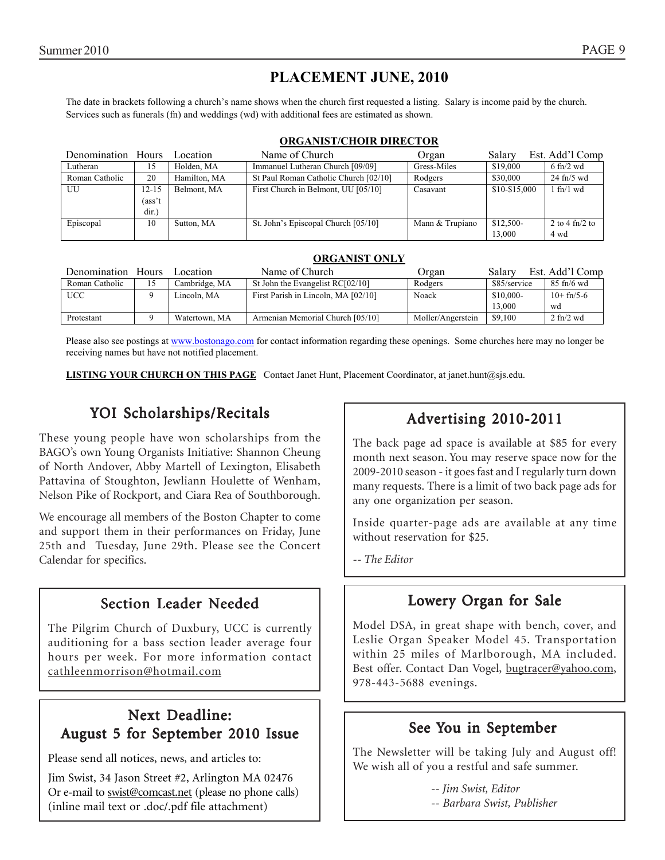### **PLACEMENT JUNE, 2010**

The date in brackets following a church's name shows when the church first requested a listing. Salary is income paid by the church. Services such as funerals (fn) and weddings (wd) with additional fees are estimated as shown.

#### **ORGANIST/CHOIR DIRECTOR**

| Denomination Hours |        | Location     | Name of Church                        | Organ           | Salary        | Est. Add'l Comp      |
|--------------------|--------|--------------|---------------------------------------|-----------------|---------------|----------------------|
| Lutheran           | 15     | Holden, MA   | Immanuel Lutheran Church [09/09]      | Gress-Miles     | \$19,000      | $6 \text{ ft}$ /2 wd |
| Roman Catholic     | 20     | Hamilton, MA | St Paul Roman Catholic Church [02/10] | Rodgers         | \$30,000      | $24$ fn/5 wd         |
| UU                 | 12-15  | Belmont, MA  | First Church in Belmont, UU [05/10]   | Casavant        | \$10-\$15,000 | $1$ fn/ $1$ wd       |
|                    | (ass't |              |                                       |                 |               |                      |
|                    | dir.)  |              |                                       |                 |               |                      |
| Episcopal          | 10     | Sutton, MA   | St. John's Episcopal Church [05/10]   | Mann & Trupiano | \$12,500-     | 2 to 4 fn/2 to       |
|                    |        |              |                                       |                 | 13.000        | 4 wd                 |

| Denomination   | <b>Hours</b> | Location      | Name of Church                      | Organ             | Salarv       | Est. Add'l Comp              |
|----------------|--------------|---------------|-------------------------------------|-------------------|--------------|------------------------------|
| Roman Catholic | 15           | Cambridge, MA | St John the Evangelist RC[02/10]    | Rodgers           | \$85/service | $85 \text{ ft}/6 \text{ wd}$ |
| <b>UCC</b>     |              | Lincoln. MA   | First Parish in Lincoln, MA [02/10] | Noack             | \$10,000-    | $10+fn/5-6$                  |
|                |              |               |                                     |                   | 13,000       | wd                           |
| Protestant     |              | Watertown, MA | Armenian Memorial Church [05/10]    | Moller/Angerstein | \$9,100      | $2 \text{ ft}/2 \text{ wd}$  |

Please also see postings at www.bostonago.com for contact information regarding these openings. Some churches here may no longer be receiving names but have not notified placement.

**LISTING YOUR CHURCH ON THIS PAGE** Contact Janet Hunt, Placement Coordinator, at janet.hunt@sjs.edu.

### YOI Scholarships/Recitals

These young people have won scholarships from the BAGO's own Young Organists Initiative: Shannon Cheung of North Andover, Abby Martell of Lexington, Elisabeth Pattavina of Stoughton, Jewliann Houlette of Wenham, Nelson Pike of Rockport, and Ciara Rea of Southborough.

We encourage all members of the Boston Chapter to come and support them in their performances on Friday, June 25th and Tuesday, June 29th. Please see the Concert Calendar for specifics.

### Section Leader Needed

The Pilgrim Church of Duxbury, UCC is currently auditioning for a bass section leader average four hours per week. For more information contact cathleenmorrison@hotmail.com

### Next Deadline: August 5 for September 2010 Issue

Please send all notices, news, and articles to:

Jim Swist, 34 Jason Street #2, Arlington MA 02476 Or e-mail to swist@comcast.net (please no phone calls) (inline mail text or .doc/.pdf file attachment)

### Advertising 2010-2011

The back page ad space is available at \$85 for every month next season. You may reserve space now for the 2009-2010 season - it goes fast and I regularly turn down many requests. There is a limit of two back page ads for any one organization per season.

Inside quarter-page ads are available at any time without reservation for \$25.

*-- The Editor*

### Lowery Organ for Sale

Model DSA, in great shape with bench, cover, and Leslie Organ Speaker Model 45. Transportation within 25 miles of Marlborough, MA included. Best offer. Contact Dan Vogel, bugtracer@yahoo.com, 978-443-5688 evenings.

### See You in September

The Newsletter will be taking July and August off! We wish all of you a restful and safe summer.

> *-- Jim Swist, Editor -- Barbara Swist, Publisher*